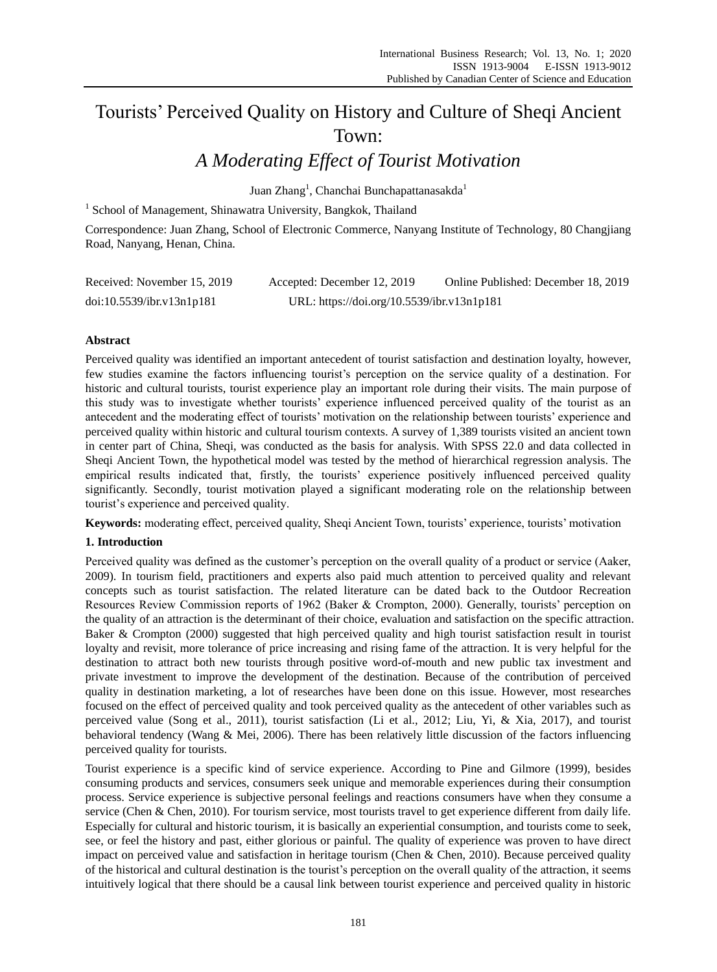# Tourists' Perceived Quality on History and Culture of Sheqi Ancient Town:

## *A Moderating Effect of Tourist Motivation*

Juan Zhang<sup>1</sup>, Chanchai Bunchapattanasakda<sup>1</sup>

<sup>1</sup> School of Management, Shinawatra University, Bangkok, Thailand

Correspondence: Juan Zhang, School of Electronic Commerce, Nanyang Institute of Technology, 80 Changjiang Road, Nanyang, Henan, China.

| Received: November 15, 2019 | Accepted: December 12, 2019                | Online Published: December 18, 2019 |
|-----------------------------|--------------------------------------------|-------------------------------------|
| doi:10.5539/ibr.v13n1p181   | URL: https://doi.org/10.5539/ibr.v13n1p181 |                                     |

## **Abstract**

Perceived quality was identified an important antecedent of tourist satisfaction and destination loyalty, however, few studies examine the factors influencing tourist's perception on the service quality of a destination. For historic and cultural tourists, tourist experience play an important role during their visits. The main purpose of this study was to investigate whether tourists' experience influenced perceived quality of the tourist as an antecedent and the moderating effect of tourists' motivation on the relationship between tourists' experience and perceived quality within historic and cultural tourism contexts. A survey of 1,389 tourists visited an ancient town in center part of China, Sheqi, was conducted as the basis for analysis. With SPSS 22.0 and data collected in Sheqi Ancient Town, the hypothetical model was tested by the method of hierarchical regression analysis. The empirical results indicated that, firstly, the tourists' experience positively influenced perceived quality significantly. Secondly, tourist motivation played a significant moderating role on the relationship between tourist's experience and perceived quality.

**Keywords:** moderating effect, perceived quality, Sheqi Ancient Town, tourists' experience, tourists' motivation

## **1. Introduction**

Perceived quality was defined as the customer's perception on the overall quality of a product or service (Aaker, 2009). In tourism field, practitioners and experts also paid much attention to perceived quality and relevant concepts such as tourist satisfaction. The related literature can be dated back to the Outdoor Recreation Resources Review Commission reports of 1962 (Baker & Crompton, 2000). Generally, tourists' perception on the quality of an attraction is the determinant of their choice, evaluation and satisfaction on the specific attraction. Baker & Crompton (2000) suggested that high perceived quality and high tourist satisfaction result in tourist loyalty and revisit, more tolerance of price increasing and rising fame of the attraction. It is very helpful for the destination to attract both new tourists through positive word-of-mouth and new public tax investment and private investment to improve the development of the destination. Because of the contribution of perceived quality in destination marketing, a lot of researches have been done on this issue. However, most researches focused on the effect of perceived quality and took perceived quality as the antecedent of other variables such as perceived value (Song et al., 2011), tourist satisfaction (Li et al., 2012; Liu, Yi, & Xia, 2017), and tourist behavioral tendency (Wang & Mei, 2006). There has been relatively little discussion of the factors influencing perceived quality for tourists.

Tourist experience is a specific kind of service experience. According to Pine and Gilmore (1999), besides consuming products and services, consumers seek unique and memorable experiences during their consumption process. Service experience is subjective personal feelings and reactions consumers have when they consume a service (Chen & Chen, 2010). For tourism service, most tourists travel to get experience different from daily life. Especially for cultural and historic tourism, it is basically an experiential consumption, and tourists come to seek, see, or feel the history and past, either glorious or painful. The quality of experience was proven to have direct impact on perceived value and satisfaction in heritage tourism (Chen & Chen, 2010). Because perceived quality of the historical and cultural destination is the tourist's perception on the overall quality of the attraction, it seems intuitively logical that there should be a causal link between tourist experience and perceived quality in historic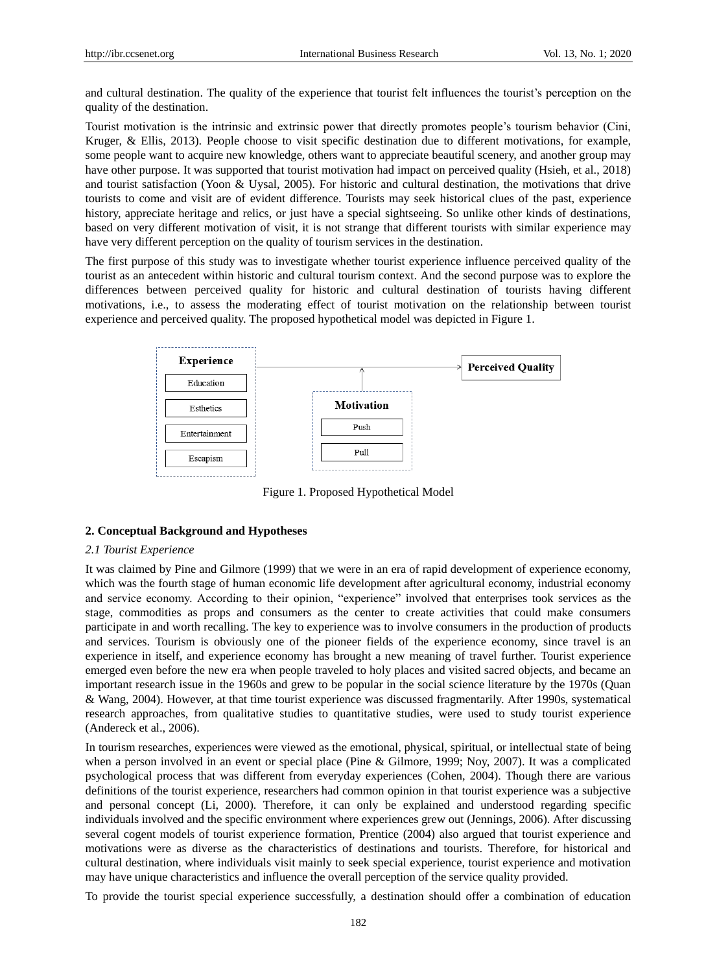and cultural destination. The quality of the experience that tourist felt influences the tourist's perception on the quality of the destination.

Tourist motivation is the intrinsic and extrinsic power that directly promotes people's tourism behavior (Cini, Kruger, & Ellis, 2013). People choose to visit specific destination due to different motivations, for example, some people want to acquire new knowledge, others want to appreciate beautiful scenery, and another group may have other purpose. It was supported that tourist motivation had impact on perceived quality (Hsieh, et al., 2018) and tourist satisfaction (Yoon & Uysal, 2005). For historic and cultural destination, the motivations that drive tourists to come and visit are of evident difference. Tourists may seek historical clues of the past, experience history, appreciate heritage and relics, or just have a special sightseeing. So unlike other kinds of destinations, based on very different motivation of visit, it is not strange that different tourists with similar experience may have very different perception on the quality of tourism services in the destination.

The first purpose of this study was to investigate whether tourist experience influence perceived quality of the tourist as an antecedent within historic and cultural tourism context. And the second purpose was to explore the differences between perceived quality for historic and cultural destination of tourists having different motivations, i.e., to assess the moderating effect of tourist motivation on the relationship between tourist experience and perceived quality. The proposed hypothetical model was depicted in Figure 1.



Figure 1. Proposed Hypothetical Model

## **2. Conceptual Background and Hypotheses**

#### *2.1 Tourist Experience*

It was claimed by Pine and Gilmore (1999) that we were in an era of rapid development of experience economy, which was the fourth stage of human economic life development after agricultural economy, industrial economy and service economy. According to their opinion, "experience" involved that enterprises took services as the stage, commodities as props and consumers as the center to create activities that could make consumers participate in and worth recalling. The key to experience was to involve consumers in the production of products and services. Tourism is obviously one of the pioneer fields of the experience economy, since travel is an experience in itself, and experience economy has brought a new meaning of travel further. Tourist experience emerged even before the new era when people traveled to holy places and visited sacred objects, and became an important research issue in the 1960s and grew to be popular in the social science literature by the 1970s (Quan & Wang, 2004). However, at that time tourist experience was discussed fragmentarily. After 1990s, systematical research approaches, from qualitative studies to quantitative studies, were used to study tourist experience (Andereck et al., 2006).

In tourism researches, experiences were viewed as the emotional, physical, spiritual, or intellectual state of being when a person involved in an event or special place (Pine & Gilmore, 1999; Noy, 2007). It was a complicated psychological process that was different from everyday experiences (Cohen, 2004). Though there are various definitions of the tourist experience, researchers had common opinion in that tourist experience was a subjective and personal concept (Li, 2000). Therefore, it can only be explained and understood regarding specific individuals involved and the specific environment where experiences grew out (Jennings, 2006). After discussing several cogent models of tourist experience formation, Prentice (2004) also argued that tourist experience and motivations were as diverse as the characteristics of destinations and tourists. Therefore, for historical and cultural destination, where individuals visit mainly to seek special experience, tourist experience and motivation may have unique characteristics and influence the overall perception of the service quality provided.

To provide the tourist special experience successfully, a destination should offer a combination of education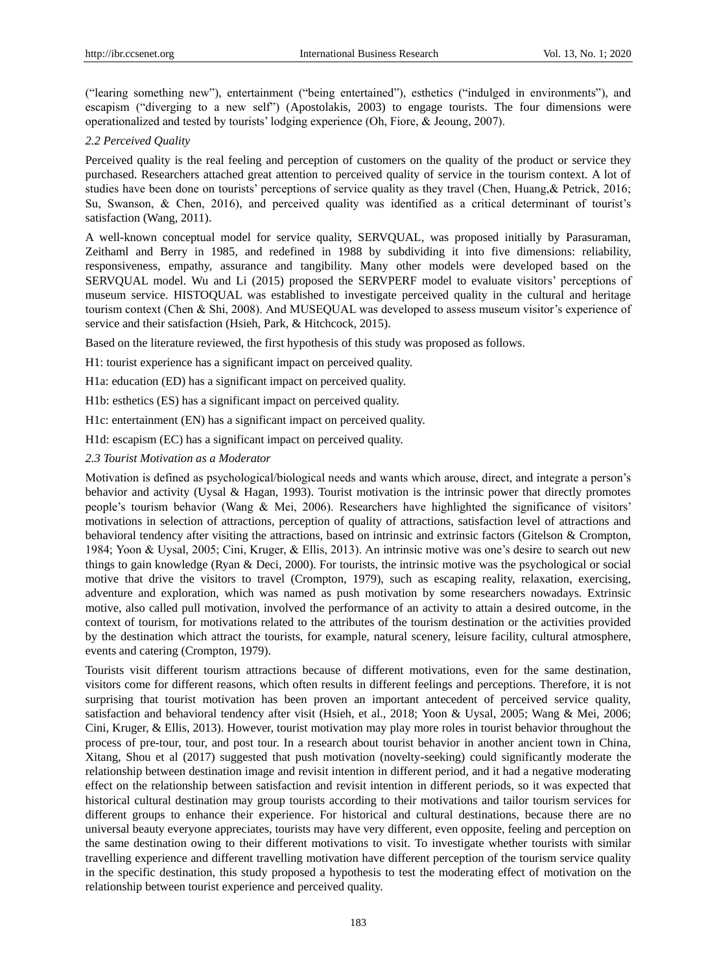("learing something new"), entertainment ("being entertained"), esthetics ("indulged in environments"), and escapism ("diverging to a new self") (Apostolakis, 2003) to engage tourists. The four dimensions were operationalized and tested by tourists' lodging experience (Oh, Fiore, & Jeoung, 2007).

## *2.2 Perceived Quality*

Perceived quality is the real feeling and perception of customers on the quality of the product or service they purchased. Researchers attached great attention to perceived quality of service in the tourism context. A lot of studies have been done on tourists' perceptions of service quality as they travel (Chen, Huang,& Petrick, 2016; Su, Swanson, & Chen, 2016), and perceived quality was identified as a critical determinant of tourist's satisfaction (Wang, 2011).

A well-known conceptual model for service quality, SERVQUAL, was proposed initially by Parasuraman, Zeithaml and Berry in 1985, and redefined in 1988 by subdividing it into five dimensions: reliability, responsiveness, empathy, assurance and tangibility. Many other models were developed based on the SERVQUAL model. Wu and Li (2015) proposed the SERVPERF model to evaluate visitors' perceptions of museum service. HISTOQUAL was established to investigate perceived quality in the cultural and heritage tourism context (Chen & Shi, 2008). And MUSEQUAL was developed to assess museum visitor's experience of service and their satisfaction (Hsieh, Park, & Hitchcock, 2015).

Based on the literature reviewed, the first hypothesis of this study was proposed as follows.

H1: tourist experience has a significant impact on perceived quality.

H1a: education (ED) has a significant impact on perceived quality.

H1b: esthetics (ES) has a significant impact on perceived quality.

H1c: entertainment (EN) has a significant impact on perceived quality.

H1d: escapism (EC) has a significant impact on perceived quality.

*2.3 Tourist Motivation as a Moderator*

Motivation is defined as psychological/biological needs and wants which arouse, direct, and integrate a person's behavior and activity (Uysal & Hagan, 1993). Tourist motivation is the intrinsic power that directly promotes people's tourism behavior (Wang & Mei, 2006). Researchers have highlighted the significance of visitors' motivations in selection of attractions, perception of quality of attractions, satisfaction level of attractions and behavioral tendency after visiting the attractions, based on intrinsic and extrinsic factors (Gitelson & Crompton, 1984; Yoon & Uysal, 2005; Cini, Kruger, & Ellis, 2013). An intrinsic motive was one's desire to search out new things to gain knowledge (Ryan & Deci, 2000). For tourists, the intrinsic motive was the psychological or social motive that drive the visitors to travel (Crompton, 1979), such as escaping reality, relaxation, exercising, adventure and exploration, which was named as push motivation by some researchers nowadays. Extrinsic motive, also called pull motivation, involved the performance of an activity to attain a desired outcome, in the context of tourism, for motivations related to the attributes of the tourism destination or the activities provided by the destination which attract the tourists, for example, natural scenery, leisure facility, cultural atmosphere, events and catering (Crompton, 1979).

Tourists visit different tourism attractions because of different motivations, even for the same destination, visitors come for different reasons, which often results in different feelings and perceptions. Therefore, it is not surprising that tourist motivation has been proven an important antecedent of perceived service quality, satisfaction and behavioral tendency after visit (Hsieh, et al., 2018; Yoon & Uysal, 2005; Wang & Mei, 2006; Cini, Kruger, & Ellis, 2013). However, tourist motivation may play more roles in tourist behavior throughout the process of pre-tour, tour, and post tour. In a research about tourist behavior in another ancient town in China, Xitang, Shou et al (2017) suggested that push motivation (novelty-seeking) could significantly moderate the relationship between destination image and revisit intention in different period, and it had a negative moderating effect on the relationship between satisfaction and revisit intention in different periods, so it was expected that historical cultural destination may group tourists according to their motivations and tailor tourism services for different groups to enhance their experience. For historical and cultural destinations, because there are no universal beauty everyone appreciates, tourists may have very different, even opposite, feeling and perception on the same destination owing to their different motivations to visit. To investigate whether tourists with similar travelling experience and different travelling motivation have different perception of the tourism service quality in the specific destination, this study proposed a hypothesis to test the moderating effect of motivation on the relationship between tourist experience and perceived quality.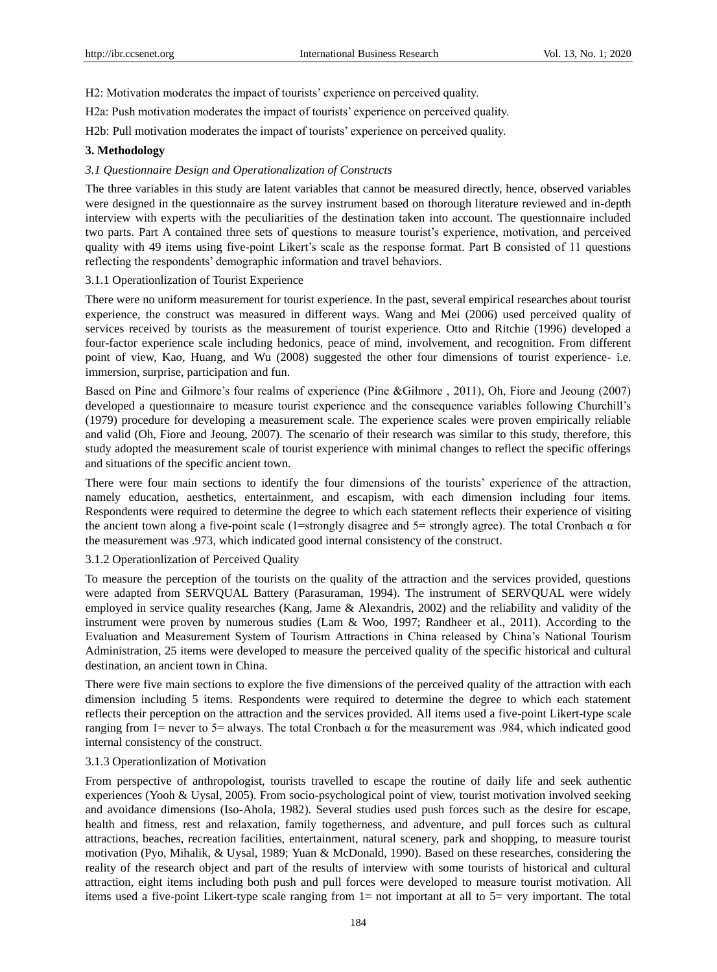H2: Motivation moderates the impact of tourists' experience on perceived quality.

H2a: Push motivation moderates the impact of tourists' experience on perceived quality.

H2b: Pull motivation moderates the impact of tourists' experience on perceived quality.

## **3. Methodology**

## *3.1 Questionnaire Design and Operationalization of Constructs*

The three variables in this study are latent variables that cannot be measured directly, hence, observed variables were designed in the questionnaire as the survey instrument based on thorough literature reviewed and in-depth interview with experts with the peculiarities of the destination taken into account. The questionnaire included two parts. Part A contained three sets of questions to measure tourist's experience, motivation, and perceived quality with 49 items using five-point Likert's scale as the response format. Part B consisted of 11 questions reflecting the respondents' demographic information and travel behaviors.

## 3.1.1 Operationlization of Tourist Experience

There were no uniform measurement for tourist experience. In the past, several empirical researches about tourist experience, the construct was measured in different ways. Wang and Mei (2006) used perceived quality of services received by tourists as the measurement of tourist experience. Otto and Ritchie (1996) developed a four-factor experience scale including hedonics, peace of mind, involvement, and recognition. From different point of view, Kao, Huang, and Wu (2008) suggested the other four dimensions of tourist experience- i.e. immersion, surprise, participation and fun.

Based on Pine and Gilmore's four realms of experience (Pine &Gilmore , 2011), Oh, Fiore and Jeoung (2007) developed a questionnaire to measure tourist experience and the consequence variables following Churchill's (1979) procedure for developing a measurement scale. The experience scales were proven empirically reliable and valid (Oh, Fiore and Jeoung, 2007). The scenario of their research was similar to this study, therefore, this study adopted the measurement scale of tourist experience with minimal changes to reflect the specific offerings and situations of the specific ancient town.

There were four main sections to identify the four dimensions of the tourists' experience of the attraction, namely education, aesthetics, entertainment, and escapism, with each dimension including four items. Respondents were required to determine the degree to which each statement reflects their experience of visiting the ancient town along a five-point scale (1=strongly disagree and 5= strongly agree). The total Cronbach α for the measurement was .973, which indicated good internal consistency of the construct.

#### 3.1.2 Operationlization of Perceived Quality

To measure the perception of the tourists on the quality of the attraction and the services provided, questions were adapted from SERVQUAL Battery (Parasuraman, 1994). The instrument of SERVQUAL were widely employed in service quality researches (Kang, Jame & Alexandris, 2002) and the reliability and validity of the instrument were proven by numerous studies (Lam & Woo, 1997; Randheer et al., 2011). According to the Evaluation and Measurement System of Tourism Attractions in China released by China's National Tourism Administration, 25 items were developed to measure the perceived quality of the specific historical and cultural destination, an ancient town in China.

There were five main sections to explore the five dimensions of the perceived quality of the attraction with each dimension including 5 items. Respondents were required to determine the degree to which each statement reflects their perception on the attraction and the services provided. All items used a five-point Likert-type scale ranging from 1= never to 5= always. The total Cronbach α for the measurement was .984, which indicated good internal consistency of the construct.

## 3.1.3 Operationlization of Motivation

From perspective of anthropologist, tourists travelled to escape the routine of daily life and seek authentic experiences (Yooh & Uysal, 2005). From socio-psychological point of view, tourist motivation involved seeking and avoidance dimensions (Iso-Ahola, 1982). Several studies used push forces such as the desire for escape, health and fitness, rest and relaxation, family togetherness, and adventure, and pull forces such as cultural attractions, beaches, recreation facilities, entertainment, natural scenery, park and shopping, to measure tourist motivation (Pyo, Mihalik, & Uysal, 1989; Yuan & McDonald, 1990). Based on these researches, considering the reality of the research object and part of the results of interview with some tourists of historical and cultural attraction, eight items including both push and pull forces were developed to measure tourist motivation. All items used a five-point Likert-type scale ranging from 1= not important at all to 5= very important. The total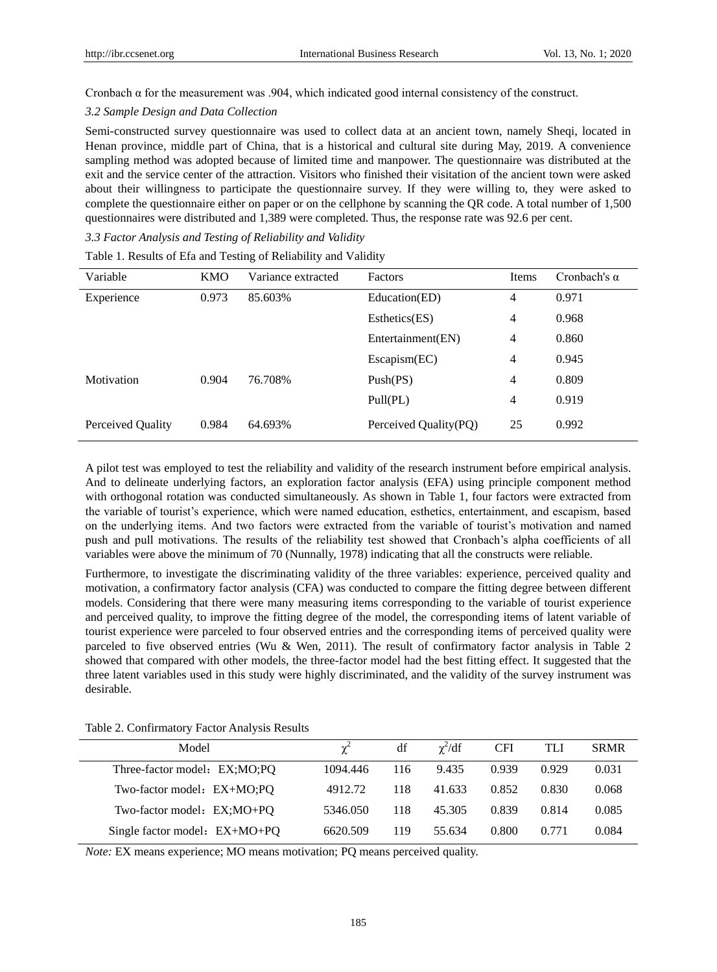Cronbach α for the measurement was .904, which indicated good internal consistency of the construct.

#### *3.2 Sample Design and Data Collection*

Semi-constructed survey questionnaire was used to collect data at an ancient town, namely Sheqi, located in Henan province, middle part of China, that is a historical and cultural site during May, 2019. A convenience sampling method was adopted because of limited time and manpower. The questionnaire was distributed at the exit and the service center of the attraction. Visitors who finished their visitation of the ancient town were asked about their willingness to participate the questionnaire survey. If they were willing to, they were asked to complete the questionnaire either on paper or on the cellphone by scanning the QR code. A total number of 1,500 questionnaires were distributed and 1,389 were completed. Thus, the response rate was 92.6 per cent.

*3.3 Factor Analysis and Testing of Reliability and Validity*

| Variable          | <b>KMO</b> | Variance extracted | <b>Factors</b>        | Items          | Cronbach's $\alpha$ |
|-------------------|------------|--------------------|-----------------------|----------------|---------------------|
|                   |            |                    |                       |                |                     |
| Experience        | 0.973      | 85.603%            | Education(ED)         | 4              | 0.971               |
|                   |            |                    | Estheets(ES)          | $\overline{4}$ | 0.968               |
|                   |            |                    | Entertainment(EN)     | 4              | 0.860               |
|                   |            |                    | Escapism(EC)          | 4              | 0.945               |
| Motivation        | 0.904      | 76.708%            | Push(PS)              | 4              | 0.809               |
|                   |            |                    | Pull(PL)              | 4              | 0.919               |
| Perceived Quality | 0.984      | 64.693%            | Perceived Quality(PQ) | 25             | 0.992               |

Table 1. Results of Efa and Testing of Reliability and Validity

A pilot test was employed to test the reliability and validity of the research instrument before empirical analysis. And to delineate underlying factors, an exploration factor analysis (EFA) using principle component method with orthogonal rotation was conducted simultaneously. As shown in Table 1, four factors were extracted from the variable of tourist's experience, which were named education, esthetics, entertainment, and escapism, based on the underlying items. And two factors were extracted from the variable of tourist's motivation and named push and pull motivations. The results of the reliability test showed that Cronbach's alpha coefficients of all variables were above the minimum of 70 (Nunnally, 1978) indicating that all the constructs were reliable.

Furthermore, to investigate the discriminating validity of the three variables: experience, perceived quality and motivation, a confirmatory factor analysis (CFA) was conducted to compare the fitting degree between different models. Considering that there were many measuring items corresponding to the variable of tourist experience and perceived quality, to improve the fitting degree of the model, the corresponding items of latent variable of tourist experience were parceled to four observed entries and the corresponding items of perceived quality were parceled to five observed entries (Wu & Wen, 2011). The result of confirmatory factor analysis in Table 2 showed that compared with other models, the three-factor model had the best fitting effect. It suggested that the three latent variables used in this study were highly discriminated, and the validity of the survey instrument was desirable.

| Model                         |          | df  | $\gamma^2/df$ | <b>CFI</b> | TLI   | <b>SRMR</b> |
|-------------------------------|----------|-----|---------------|------------|-------|-------------|
| Three-factor model: EX;MO;PQ  | 1094.446 | 116 | 9.435         | 0.939      | 0.929 | 0.031       |
| Two-factor model: EX+MO;PQ    | 4912.72  | 118 | 41.633        | 0.852      | 0.830 | 0.068       |
| Two-factor model: EX;MO+PQ    | 5346.050 | 118 | 45.305        | 0.839      | 0.814 | 0.085       |
| Single factor model: EX+MO+PQ | 6620.509 | 119 | 55.634        | 0.800      | 0.771 | 0.084       |

Table 2. Confirmatory Factor Analysis Results

*Note:* EX means experience; MO means motivation; PQ means perceived quality.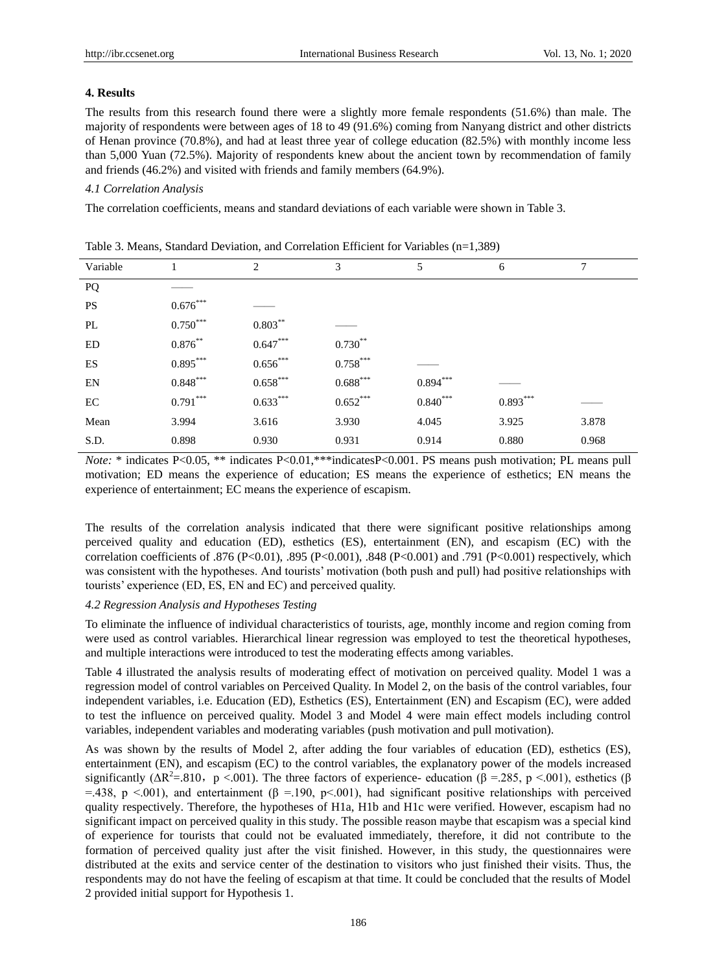## **4. Results**

The results from this research found there were a slightly more female respondents (51.6%) than male. The majority of respondents were between ages of 18 to 49 (91.6%) coming from Nanyang district and other districts of Henan province (70.8%), and had at least three year of college education (82.5%) with monthly income less than 5,000 Yuan (72.5%). Majority of respondents knew about the ancient town by recommendation of family and friends (46.2%) and visited with friends and family members (64.9%).

## *4.1 Correlation Analysis*

The correlation coefficients, means and standard deviations of each variable were shown in Table 3.

| $\cdots$ $ \cdots$ $\cdots$ |              |            |                        |            |            |       |  |
|-----------------------------|--------------|------------|------------------------|------------|------------|-------|--|
| Variable                    |              | 2          | 3                      | 5          | 6          | 7     |  |
| PQ                          |              |            |                        |            |            |       |  |
| <b>PS</b>                   | $0.676***$   |            |                        |            |            |       |  |
| PL                          | $0.750***$   | $0.803***$ |                        |            |            |       |  |
| ED                          | $0.876^{**}$ | $0.647***$ | $0.730**$              |            |            |       |  |
| ES                          | $0.895***$   | $0.656***$ | $0.758***$             |            |            |       |  |
| EN                          | $0.848***$   | $0.658***$ | $0.688^{\ast\ast\ast}$ | $0.894***$ |            |       |  |
| EC                          | $0.791***$   | $0.633***$ | $0.652***$             | $0.840***$ | $0.893***$ |       |  |
| Mean                        | 3.994        | 3.616      | 3.930                  | 4.045      | 3.925      | 3.878 |  |
| S.D.                        | 0.898        | 0.930      | 0.931                  | 0.914      | 0.880      | 0.968 |  |
|                             |              |            |                        |            |            |       |  |

Table 3. Means, Standard Deviation, and Correlation Efficient for Variables (n=1,389)

*Note:* \* indicates P<0.05, \*\* indicates P<0.01, \*\*\*indicatesP<0.001. PS means push motivation; PL means pull motivation; ED means the experience of education; ES means the experience of esthetics; EN means the experience of entertainment; EC means the experience of escapism.

The results of the correlation analysis indicated that there were significant positive relationships among perceived quality and education (ED), esthetics (ES), entertainment (EN), and escapism (EC) with the correlation coefficients of .876 (P<0.01), .895 (P<0.001), .848 (P<0.001) and .791 (P<0.001) respectively, which was consistent with the hypotheses. And tourists' motivation (both push and pull) had positive relationships with tourists' experience (ED, ES, EN and EC) and perceived quality.

## *4.2 Regression Analysis and Hypotheses Testing*

To eliminate the influence of individual characteristics of tourists, age, monthly income and region coming from were used as control variables. Hierarchical linear regression was employed to test the theoretical hypotheses, and multiple interactions were introduced to test the moderating effects among variables.

Table 4 illustrated the analysis results of moderating effect of motivation on perceived quality. Model 1 was a regression model of control variables on Perceived Quality. In Model 2, on the basis of the control variables, four independent variables, i.e. Education (ED), Esthetics (ES), Entertainment (EN) and Escapism (EC), were added to test the influence on perceived quality. Model 3 and Model 4 were main effect models including control variables, independent variables and moderating variables (push motivation and pull motivation).

As was shown by the results of Model 2, after adding the four variables of education (ED), esthetics (ES), entertainment (EN), and escapism (EC) to the control variables, the explanatory power of the models increased significantly ( $\Delta R^2 = .810$ , p <.001). The three factors of experience- education (β =.285, p <.001), esthetics (β =.438, p <.001), and entertainment ( $\beta$  =.190, p <.001), had significant positive relationships with perceived quality respectively. Therefore, the hypotheses of H1a, H1b and H1c were verified. However, escapism had no significant impact on perceived quality in this study. The possible reason maybe that escapism was a special kind of experience for tourists that could not be evaluated immediately, therefore, it did not contribute to the formation of perceived quality just after the visit finished. However, in this study, the questionnaires were distributed at the exits and service center of the destination to visitors who just finished their visits. Thus, the respondents may do not have the feeling of escapism at that time. It could be concluded that the results of Model 2 provided initial support for Hypothesis 1.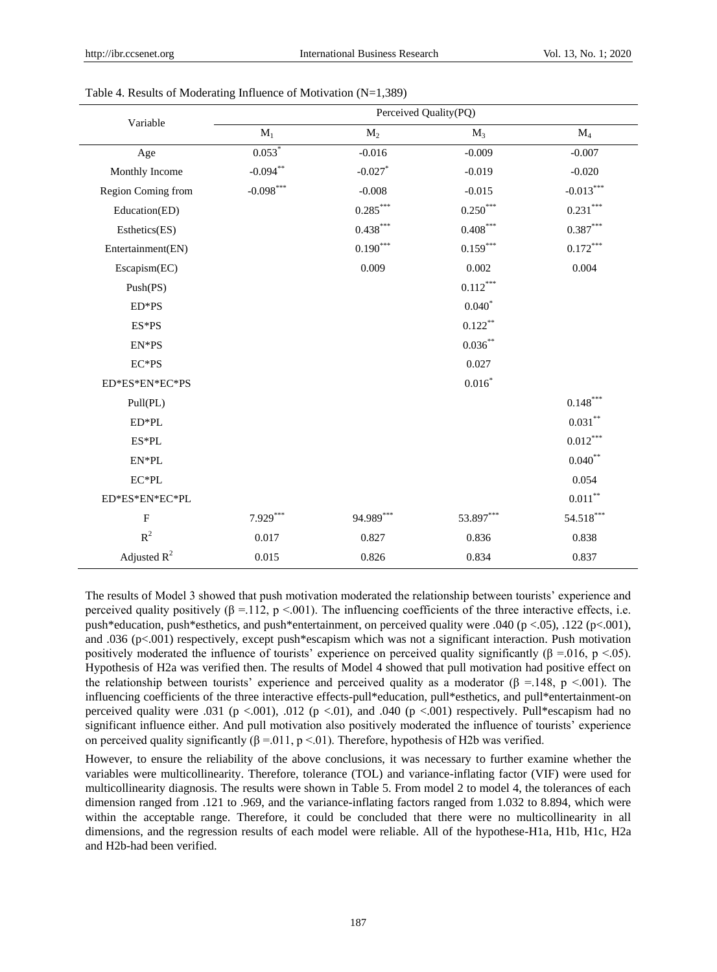| Variable           | Perceived Quality(PQ) |                        |                                |                        |  |  |
|--------------------|-----------------------|------------------------|--------------------------------|------------------------|--|--|
|                    | $\mathbf{M}_1$        | $M_2$                  | $M_3$                          | $M_4$                  |  |  |
| Age                | $0.053*$              | $-0.016$               | $-0.009$                       | $-0.007$               |  |  |
| Monthly Income     | $-0.094**$            | $-0.027$ *             | $-0.019$                       | $-0.020$               |  |  |
| Region Coming from | $-0.098$ ***          | $-0.008$               | $-0.015$                       | $-0.013***$            |  |  |
| Education(ED)      |                       | $0.285^{\ast\ast\ast}$ | $0.250^\ast{}^{\ast}{}^{\ast}$ | $0.231^{\ast\ast\ast}$ |  |  |
| Esthetics(ES)      |                       | $0.438^{\ast\ast\ast}$ | $0.408^{\ast\ast\ast}$         | $0.387***$             |  |  |
| Entertainment(EN)  |                       | $0.190***$             | $0.159***$                     | $0.172^{\ast\ast\ast}$ |  |  |
| Escapism(EC)       |                       | 0.009                  | 0.002                          | 0.004                  |  |  |
| Push(PS)           |                       |                        | $0.112***$                     |                        |  |  |
| ED*PS              |                       |                        | $0.040*$                       |                        |  |  |
| ES*PS              |                       |                        | $0.122***$                     |                        |  |  |
| EN*PS              |                       |                        | $0.036***$                     |                        |  |  |
| $EC*PS$            |                       |                        | 0.027                          |                        |  |  |
| ED*ES*EN*EC*PS     |                       |                        | $0.016^{*}$                    |                        |  |  |
| Pull(PL)           |                       |                        |                                | $0.148^{***}\,$        |  |  |
| ED*PL              |                       |                        |                                | $0.031^{\ast\ast}$     |  |  |
| $ES*PL$            |                       |                        |                                | $0.012***$             |  |  |
| EN*PL              |                       |                        |                                | $0.040**$              |  |  |
| $EC*PL$            |                       |                        |                                | 0.054                  |  |  |
| ED*ES*EN*EC*PL     |                       |                        |                                | $0.011^{\ast\ast}$     |  |  |
| $\mathbf{F}$       | $7.929***$            | 94.989***              | 53.897***                      | 54.518***              |  |  |
| ${\bf R}^2$        | 0.017                 | 0.827                  | 0.836                          | 0.838                  |  |  |
| Adjusted $R^2$     | 0.015                 | 0.826                  | 0.834                          | 0.837                  |  |  |

Table 4. Results of Moderating Influence of Motivation (N=1,389)

The results of Model 3 showed that push motivation moderated the relationship between tourists' experience and perceived quality positively ( $\beta = 112$ , p <.001). The influencing coefficients of the three interactive effects, i.e. push\*education, push\*esthetics, and push\*entertainment, on perceived quality were .040 (p <.05), .122 (p<.001), and .036 (p<.001) respectively, except push\*escapism which was not a significant interaction. Push motivation positively moderated the influence of tourists' experience on perceived quality significantly ( $\beta = 0.016$ , p <.05). Hypothesis of H2a was verified then. The results of Model 4 showed that pull motivation had positive effect on the relationship between tourists' experience and perceived quality as a moderator ( $\beta$  =.148, p <.001). The influencing coefficients of the three interactive effects-pull\*education, pull\*esthetics, and pull\*entertainment-on perceived quality were .031 (p <.001), .012 (p <.01), and .040 (p <.001) respectively. Pull\*escapism had no significant influence either. And pull motivation also positively moderated the influence of tourists' experience on perceived quality significantly  $(\beta = 0.011, p \lt 0.01)$ . Therefore, hypothesis of H2b was verified.

However, to ensure the reliability of the above conclusions, it was necessary to further examine whether the variables were multicollinearity. Therefore, tolerance (TOL) and variance-inflating factor (VIF) were used for multicollinearity diagnosis. The results were shown in Table 5. From model 2 to model 4, the tolerances of each dimension ranged from .121 to .969, and the variance-inflating factors ranged from 1.032 to 8.894, which were within the acceptable range. Therefore, it could be concluded that there were no multicollinearity in all dimensions, and the regression results of each model were reliable. All of the hypothese-H1a, H1b, H1c, H2a and H2b-had been verified.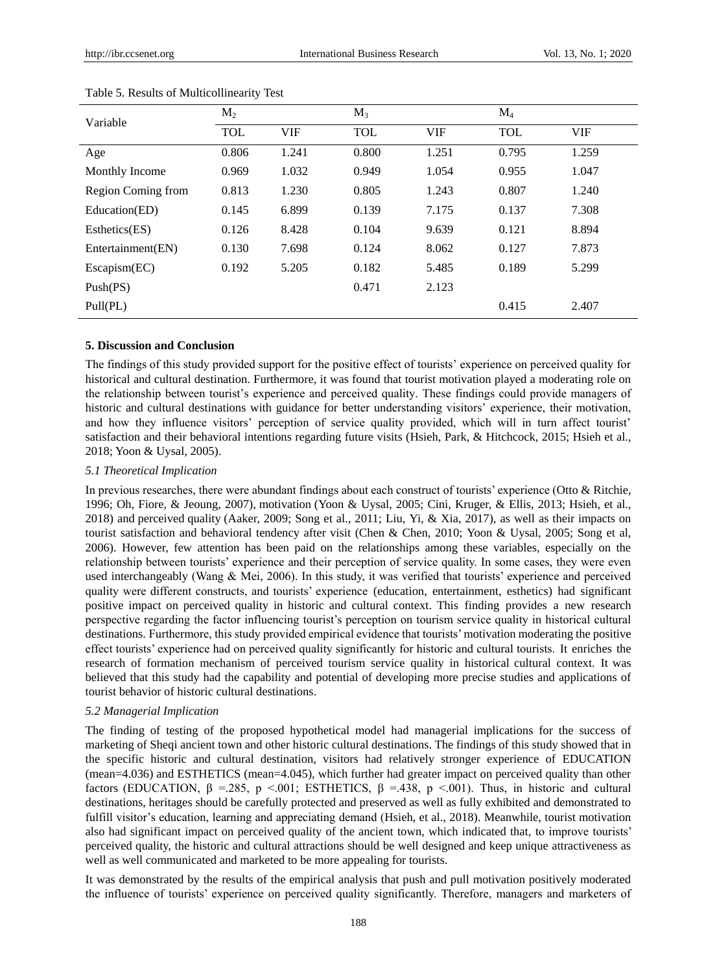| Variable           | $M_2$      |            | $M_3$      |            | $M_4$      |       |
|--------------------|------------|------------|------------|------------|------------|-------|
|                    | <b>TOL</b> | <b>VIF</b> | <b>TOL</b> | <b>VIF</b> | <b>TOL</b> | VIF   |
| Age                | 0.806      | 1.241      | 0.800      | 1.251      | 0.795      | 1.259 |
| Monthly Income     | 0.969      | 1.032      | 0.949      | 1.054      | 0.955      | 1.047 |
| Region Coming from | 0.813      | 1.230      | 0.805      | 1.243      | 0.807      | 1.240 |
| Education(ED)      | 0.145      | 6.899      | 0.139      | 7.175      | 0.137      | 7.308 |
| Esthetics(ES)      | 0.126      | 8.428      | 0.104      | 9.639      | 0.121      | 8.894 |
| Entertainment(EN)  | 0.130      | 7.698      | 0.124      | 8.062      | 0.127      | 7.873 |
| Escapism(EC)       | 0.192      | 5.205      | 0.182      | 5.485      | 0.189      | 5.299 |
| Push(PS)           |            |            | 0.471      | 2.123      |            |       |
| Pull(PL)           |            |            |            |            | 0.415      | 2.407 |

#### Table 5. Results of Multicollinearity Test

## **5. Discussion and Conclusion**

The findings of this study provided support for the positive effect of tourists' experience on perceived quality for historical and cultural destination. Furthermore, it was found that tourist motivation played a moderating role on the relationship between tourist's experience and perceived quality. These findings could provide managers of historic and cultural destinations with guidance for better understanding visitors' experience, their motivation, and how they influence visitors' perception of service quality provided, which will in turn affect tourist' satisfaction and their behavioral intentions regarding future visits (Hsieh, Park, & Hitchcock, 2015; Hsieh et al., 2018; Yoon & Uysal, 2005).

## *5.1 Theoretical Implication*

In previous researches, there were abundant findings about each construct of tourists' experience (Otto & Ritchie, 1996; Oh, Fiore, & Jeoung, 2007), motivation (Yoon & Uysal, 2005; Cini, Kruger, & Ellis, 2013; Hsieh, et al., 2018) and perceived quality (Aaker, 2009; Song et al., 2011; Liu, Yi, & Xia, 2017), as well as their impacts on tourist satisfaction and behavioral tendency after visit (Chen & Chen, 2010; Yoon & Uysal, 2005; Song et al, 2006). However, few attention has been paid on the relationships among these variables, especially on the relationship between tourists' experience and their perception of service quality. In some cases, they were even used interchangeably (Wang & Mei, 2006). In this study, it was verified that tourists' experience and perceived quality were different constructs, and tourists' experience (education, entertainment, esthetics) had significant positive impact on perceived quality in historic and cultural context. This finding provides a new research perspective regarding the factor influencing tourist's perception on tourism service quality in historical cultural destinations. Furthermore, this study provided empirical evidence that tourists' motivation moderating the positive effect tourists' experience had on perceived quality significantly for historic and cultural tourists. It enriches the research of formation mechanism of perceived tourism service quality in historical cultural context. It was believed that this study had the capability and potential of developing more precise studies and applications of tourist behavior of historic cultural destinations.

## *5.2 Managerial Implication*

The finding of testing of the proposed hypothetical model had managerial implications for the success of marketing of Sheqi ancient town and other historic cultural destinations. The findings of this study showed that in the specific historic and cultural destination, visitors had relatively stronger experience of EDUCATION (mean=4.036) and ESTHETICS (mean=4.045), which further had greater impact on perceived quality than other factors (EDUCATION, β = 285, p < 001; ESTHETICS, β = 438, p < 001). Thus, in historic and cultural destinations, heritages should be carefully protected and preserved as well as fully exhibited and demonstrated to fulfill visitor's education, learning and appreciating demand (Hsieh, et al., 2018). Meanwhile, tourist motivation also had significant impact on perceived quality of the ancient town, which indicated that, to improve tourists' perceived quality, the historic and cultural attractions should be well designed and keep unique attractiveness as well as well communicated and marketed to be more appealing for tourists.

It was demonstrated by the results of the empirical analysis that push and pull motivation positively moderated the influence of tourists' experience on perceived quality significantly. Therefore, managers and marketers of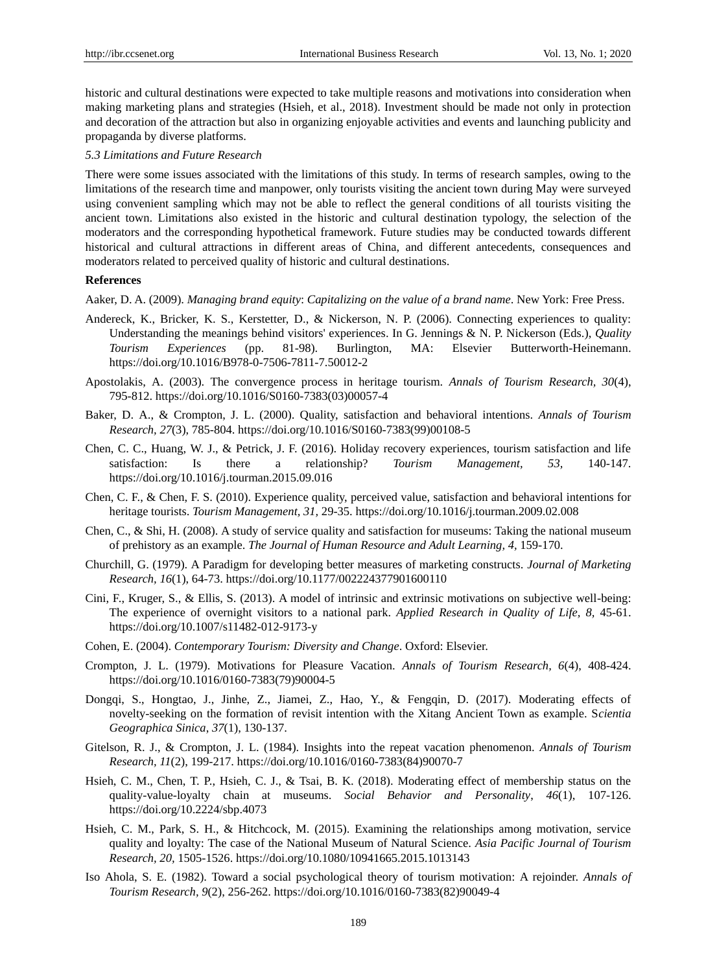historic and cultural destinations were expected to take multiple reasons and motivations into consideration when making marketing plans and strategies (Hsieh, et al., 2018). Investment should be made not only in protection and decoration of the attraction but also in organizing enjoyable activities and events and launching publicity and propaganda by diverse platforms.

#### *5.3 Limitations and Future Research*

There were some issues associated with the limitations of this study. In terms of research samples, owing to the limitations of the research time and manpower, only tourists visiting the ancient town during May were surveyed using convenient sampling which may not be able to reflect the general conditions of all tourists visiting the ancient town. Limitations also existed in the historic and cultural destination typology, the selection of the moderators and the corresponding hypothetical framework. Future studies may be conducted towards different historical and cultural attractions in different areas of China, and different antecedents, consequences and moderators related to perceived quality of historic and cultural destinations.

#### **References**

Aaker, D. A. (2009). *Managing brand equity*: *Capitalizing on the value of a brand name*. New York: Free Press.

- Andereck, K., Bricker, K. S., Kerstetter, D., & Nickerson, N. P. (2006). Connecting experiences to quality: Understanding the meanings behind visitors' experiences. In G. Jennings & N. P. Nickerson (Eds.), *Quality Tourism Experiences* (pp. 81-98). Burlington, MA: Elsevier Butterworth-Heinemann. <https://doi.org/10.1016/B978-0-7506-7811-7.50012-2>
- Apostolakis, A. (2003). The convergence process in heritage tourism. *Annals of Tourism Research, 30*(4), 795-812. [https://doi.org/10.1016/S0160-7383\(03\)00057-4](https://doi.org/10.1016/S0160-7383(03)00057-4)
- Baker, D. A., & Crompton, J. L. (2000). Quality, satisfaction and behavioral intentions. *Annals of Tourism Research, 27*(3), 785-804[. https://doi.org/10.1016/S0160-7383\(99\)00108-5](https://doi.org/10.1016/S0160-7383(99)00108-5)
- Chen, C. C., Huang, W. J., & Petrick, J. F. (2016). Holiday recovery experiences, tourism satisfaction and life satisfaction: Is there a relationship? *Tourism Management, 53,* 140-147. <https://doi.org/10.1016/j.tourman.2015.09.016>
- Chen, C. F., & Chen, F. S. (2010). Experience quality, perceived value, satisfaction and behavioral intentions for heritage tourists. *Tourism Management, 31,* 29-35.<https://doi.org/10.1016/j.tourman.2009.02.008>
- Chen, C., & Shi, H. (2008). A study of service quality and satisfaction for museums: Taking the national museum of prehistory as an example. *The Journal of Human Resource and Adult Learning, 4,* 159-170.
- Churchill, G. (1979). A Paradigm for developing better measures of marketing constructs. *Journal of Marketing Research, 16*(1), 64-73[. https://doi.org/10.1177/002224377901600110](https://doi.org/10.1177/002224377901600110)
- Cini, F., Kruger, S., & Ellis, S. (2013). A model of intrinsic and extrinsic motivations on subjective well-being: The experience of overnight visitors to a national park. *Applied Research in Quality of Life, 8,* 45-61. <https://doi.org/10.1007/s11482-012-9173-y>
- Cohen, E. (2004). *Contemporary Tourism: Diversity and Change*. Oxford: Elsevier.
- Crompton, J. L. (1979). Motivations for Pleasure Vacation. *Annals of Tourism Research, 6*(4), 408-424. [https://doi.org/10.1016/0160-7383\(79\)90004-5](https://doi.org/10.1016/0160-7383(79)90004-5)
- Dongqi, S., Hongtao, J., Jinhe, Z., Jiamei, Z., Hao, Y., & Fengqin, D. (2017). Moderating effects of novelty-seeking on the formation of revisit intention with the Xitang Ancient Town as example. S*cientia Geographica Sinica*, *37*(1), 130-137.
- Gitelson, R. J., & Crompton, J. L. (1984). Insights into the repeat vacation phenomenon. *Annals of Tourism Research, 11*(2), 199-217. [https://doi.org/10.1016/0160-7383\(84\)90070-7](https://doi.org/10.1016/0160-7383(84)90070-7)
- Hsieh, C. M., Chen, T. P., Hsieh, C. J., & Tsai, B. K. (2018). Moderating effect of membership status on the quality-value-loyalty chain at museums. *Social Behavior and Personality*, *46*(1), 107-126. <https://doi.org/10.2224/sbp.4073>
- Hsieh, C. M., Park, S. H., & Hitchcock, M. (2015). Examining the relationships among motivation, service quality and loyalty: The case of the National Museum of Natural Science. *Asia Pacific Journal of Tourism Research, 20,* 1505-1526.<https://doi.org/10.1080/10941665.2015.1013143>
- Iso Ahola, S. E. (1982). Toward a social psychological theory of tourism motivation: A rejoinder. *Annals of Tourism Research, 9*(2), 256-262[. https://doi.org/10.1016/0160-7383\(82\)90049-4](https://doi.org/10.1016/0160-7383(82)90049-4)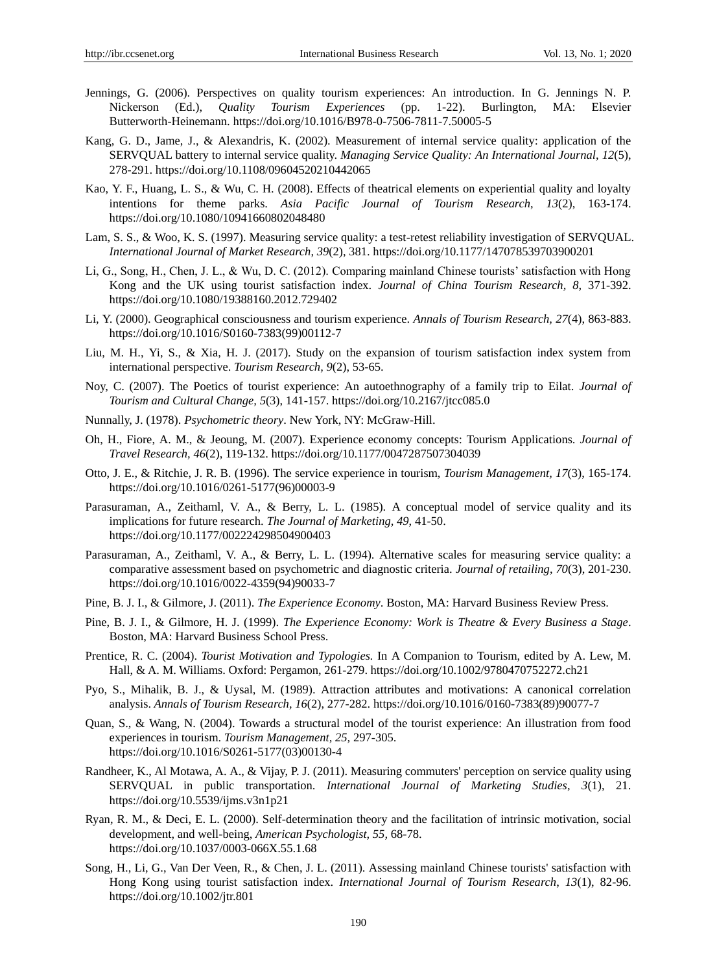- Jennings, G. (2006). Perspectives on quality tourism experiences: An introduction. In G. Jennings N. P. Nickerson (Ed.), *Quality Tourism Experiences* (pp. 1-22). Burlington, MA: Elsevier Butterworth-Heinemann[. https://doi.org/10.1016/B978-0-7506-7811-7.50005-5](https://doi.org/10.1016/B978-0-7506-7811-7.50005-5)
- Kang, G. D., Jame, J., & Alexandris, K. (2002). Measurement of internal service quality: application of the SERVQUAL battery to internal service quality. *Managing Service Quality: An International Journal*, *12*(5), 278-291.<https://doi.org/10.1108/09604520210442065>
- Kao, Y. F., Huang, L. S., & Wu, C. H. (2008). Effects of theatrical elements on experiential quality and loyalty intentions for theme parks. *Asia Pacific Journal of Tourism Research*, *13*(2), 163-174. <https://doi.org/10.1080/10941660802048480>
- Lam, S. S., & Woo, K. S. (1997). Measuring service quality: a test-retest reliability investigation of SERVQUAL. *International Journal of Market Research*, *39*(2), 381.<https://doi.org/10.1177/147078539703900201>
- Li, G., Song, H., Chen, J. L., & Wu, D. C. (2012). Comparing mainland Chinese tourists' satisfaction with Hong Kong and the UK using tourist satisfaction index. *Journal of China Tourism Research, 8,* 371-392. <https://doi.org/10.1080/19388160.2012.729402>
- Li, Y. (2000). Geographical consciousness and tourism experience. *Annals of Tourism Research, 27*(4), 863-883. [https://doi.org/10.1016/S0160-7383\(99\)00112-7](https://doi.org/10.1016/S0160-7383(99)00112-7)
- Liu, M. H., Yi, S., & Xia, H. J. (2017). Study on the expansion of tourism satisfaction index system from international perspective. *Tourism Research, 9*(2), 53-65.
- Noy, C. (2007). The Poetics of tourist experience: An autoethnography of a family trip to Eilat. *Journal of Tourism and Cultural Change, 5*(3), 141-157.<https://doi.org/10.2167/jtcc085.0>
- Nunnally, J. (1978). *Psychometric theory*. New York, NY: McGraw-Hill.
- Oh, H., Fiore, A. M., & Jeoung, M. (2007). Experience economy concepts: Tourism Applications. *Journal of Travel Research, 46*(2), 119-132.<https://doi.org/10.1177/0047287507304039>
- Otto, J. E., & Ritchie, J. R. B. (1996). The service experience in tourism, *Tourism Management, 17*(3), 165-174. [https://doi.org/10.1016/0261-5177\(96\)00003-9](https://doi.org/10.1016/0261-5177(96)00003-9)
- Parasuraman, A., Zeithaml, V. A., & Berry, L. L. (1985). A conceptual model of service quality and its implications for future research. *The Journal of Marketing, 49*, 41-50. <https://doi.org/10.1177/002224298504900403>
- Parasuraman, A., Zeithaml, V. A., & Berry, L. L. (1994). Alternative scales for measuring service quality: a comparative assessment based on psychometric and diagnostic criteria. *Journal of retailing*, *70*(3), 201-230. [https://doi.org/10.1016/0022-4359\(94\)90033-7](https://doi.org/10.1016/0022-4359(94)90033-7)
- Pine, B. J. I., & Gilmore, J. (2011). *The Experience Economy*. Boston, MA: Harvard Business Review Press.
- Pine, B. J. I., & Gilmore, H. J. (1999). *The Experience Economy: Work is Theatre & Every Business a Stage*. Boston, MA: Harvard Business School Press.
- Prentice, R. C. (2004). *Tourist Motivation and Typologies.* In A Companion to Tourism, edited by A. Lew, M. Hall, & A. M. Williams. Oxford: Pergamon, 261-279.<https://doi.org/10.1002/9780470752272.ch21>
- Pyo, S., Mihalik, B. J., & Uysal, M. (1989). Attraction attributes and motivations: A canonical correlation analysis. *Annals of Tourism Research, 16*(2), 277-282. [https://doi.org/10.1016/0160-7383\(89\)90077-7](https://doi.org/10.1016/0160-7383(89)90077-7)
- Quan, S., & Wang, N. (2004). Towards a structural model of the tourist experience: An illustration from food experiences in tourism. *Tourism Management, 25,* 297-305. [https://doi.org/10.1016/S0261-5177\(03\)00130-4](https://doi.org/10.1016/S0261-5177(03)00130-4)
- Randheer, K., Al Motawa, A. A., & Vijay, P. J. (2011). Measuring commuters' perception on service quality using SERVQUAL in public transportation. *International Journal of Marketing Studies*, *3*(1), 21. <https://doi.org/10.5539/ijms.v3n1p21>
- Ryan, R. M., & Deci, E. L. (2000). Self-determination theory and the facilitation of intrinsic motivation, social development, and well-being, *American Psychologist, 55,* 68-78. <https://doi.org/10.1037/0003-066X.55.1.68>
- Song, H., Li, G., Van Der Veen, R., & Chen, J. L. (2011). Assessing mainland Chinese tourists' satisfaction with Hong Kong using tourist satisfaction index. *International Journal of Tourism Research*, *13*(1), 82-96. <https://doi.org/10.1002/jtr.801>